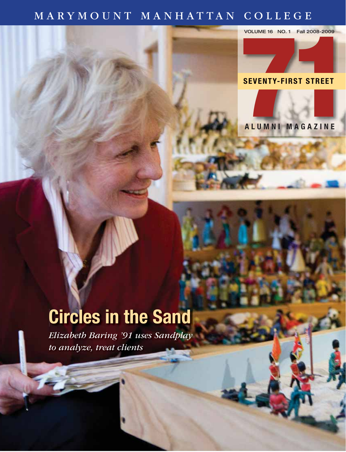### MARYMOUNT MANHATTAN COLLEGE

VOLUME 16 NO. 1 Fall 2008-2009

# **COLLEGE**<br>
VOLUME 16 NO.1 Fall 2008-2009<br>
SEVENTY-FIRST STREET

**ALUMNI MAGAZINE**

## **Circles in the Sand**

*Elizabeth Baring '91 uses Sandplay to analyze, treat clients*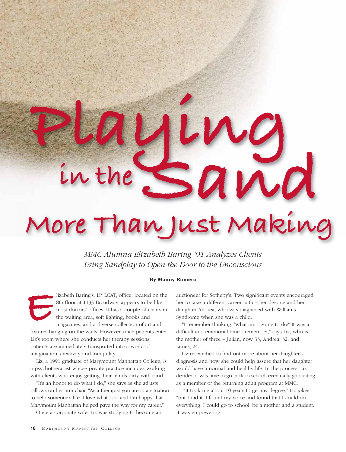# **in theSand More Than Just Making**

**Playing**

*MMC Alumna Elizabeth Baring '91 Analyzes Clients Using Sandplay to Open the Door to the Unconscious*

#### By Manny Romero

lizabeth Baring's, LP, LCAT, office, located on the 8th floor at 1133 Broadway, appears to be like most doctors' offices. It has a couple of chairs in the waiting area, soft lighting, books and magazines, and a diverse collection of art and fixtures hanging on the walls. However, once patients enter Liz's room where she conducts her therapy sessions, **E** 

patients are immediately transported into a world of imagination, creativity and tranquility.

Liz, a 1991 graduate of Marymount Manhattan College, is a psychotherapist whose private practice includes working with clients who enjoy getting their hands dirty with sand.

"It's an honor to do what I do," she says as she adjusts pillows on her arm chair. "As a therapist you are in a situation to help someone's life. I love what I do and I'm happy that Marymount Manhattan helped pave the way for my career."

Once a corporate wife, Liz was studying to become an

auctioneer for Sotheby's. Two significant events encouraged her to take a different career path – her divorce and her daughter Andrea, who was diagnosed with Williams Syndrome when she was a child.

"I remember thinking, 'What am I going to do?' It was a difficult and emotional time I remember," says Liz, who is the mother of three – Julian, now 33; Andrea, 32; and James, 24.

Liz researched to find out more about her daughter's diagnosis and how she could help assure that her daughter would have a normal and healthy life. In the process, Liz decided it was time to go back to school, eventually graduating as a member of the returning adult program at MMC.

"It took me about 10 years to get my degree," Liz jokes, "but I did it. I found my voice and found that I could do everything. I could go to school, be a mother and a student. It was empowering."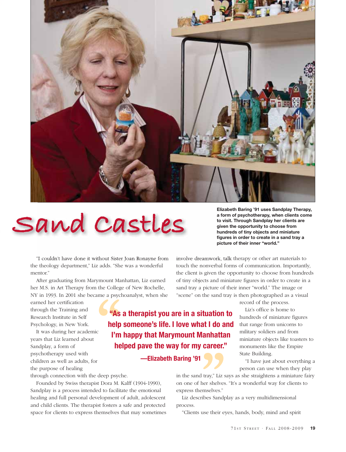

# **Sand Castles**

"I couldn't have done it without Sister Joan Ronayne from the theology department," Liz adds. "She was a wonderful mentor."

After graduating from Marymount Manhattan, Liz earned her M.S. in Art Therapy from the College of New Rochelle, NY in 1993. In 2001 she became a psychoanalyst, when she

earned her certification through the Training and Research Institute in Self Psychology, in New York.

It was during her academic years that Liz learned about Sandplay, a form of psychotherapy used with children as well as adults, for the purpose of healing

through connection with the deep psyche.

Founded by Swiss therapist Dora M. Kalff (1904-1990), Sandplay is a process intended to facilitate the emotional healing and full personal development of adult, adolescent and child clients. The therapist fosters a safe and protected space for clients to express themselves that may sometimes **he**<br>
r<br>
deep psych<br>
st Dora M. I<br>
ed to facilita

**Elizabeth Baring '91 uses Sandplay Therapy, a form of psychotherapy, when clients come to visit. Through Sandplay her clients are given the opportunity to choose from hundreds of tiny objects and miniature figures in order to create in a sand tray a picture of their inner "world."**

involve dreamwork, talk therapy or other art materials to touch the nonverbal forms of communication. Importantly, the client is given the opportunity to choose from hundreds of tiny objects and miniature figures in order to create in a sand tray a picture of their inner "world." The image or "scene" on the sand tray is then photographed as a visual

record of the process.

Liz's office is home to hundreds of miniature figures that range from unicorns to military soldiers and from miniature objects like toasters to monuments like the Empire State Building.

"I have just about everything a person can use when they play

in the sand tray," Liz says as she straightens a miniature fairy on one of her shelves. "It's a wonderful way for clients to express themselves."

Liz describes Sandplay as a very multidimensional process. emselves."<br>ribes Sandp<br>use their ey

"Clients use their eyes, hands, body, mind and spirit

**"As a therapist you are in a situation to help someone's life. I love what I do and I'm happy that Marymount Manhattan helped pave the way for my career."**

### **—Elizabeth Baring '91**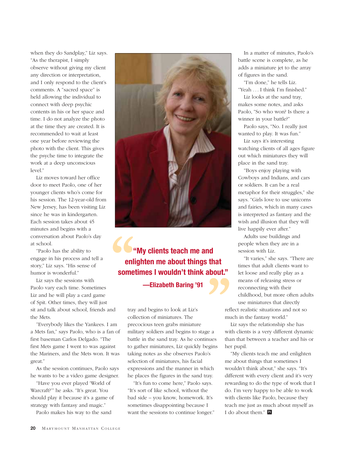when they do Sandplay," Liz says. "As the therapist, I simply observe without giving my client any direction or interpretation, and I only respond to the client's comments. A "sacred space" is held allowing the individual to connect with deep psychic contents in his or her space and time. I do not analyze the photo at the time they are created. It is recommended to wait at least one year before reviewing the photo with the client. This gives the psyche time to integrate the work at a deep unconscious level."

Liz moves toward her office door to meet Paolo, one of her younger clients who's come for his session. The 12-year-old from New Jersey, has been visiting Liz since he was in kindergarten. Each session takes about 45 minutes and begins with a conversation about Paolo's day at school.

"Paolo has the ability to engage in his process and tell a story," Liz says. "His sense of humor is wonderful."

Liz says the sessions with Paolo vary each time. Sometimes Liz and he will play a card game of Spit. Other times, they will just sit and talk about school, friends and the Mets. tray<br>
nd tray<br>
am prec

"Everybody likes the Yankees. I am a Mets fan," says Paolo, who is a fan of first baseman Carlos Delgado. "The first Mets game I went to was against the Mariners, and the Mets won. It was great."

As the session continues, Paolo says he wants to be a video game designer.

"Have you ever played 'World of Warcraft?'" he asks. "It's great. You should play it because it's a game of strategy with fantasy and magic."

Paolo makes his way to the sand



**"My clients teach me and enlighten me about things that sometimes I wouldn't think about."**

**—Elizabeth Baring '91**

tray and begins to look at Liz's collection of miniatures. The precocious teen grabs miniature military soldiers and begins to stage a battle in the sand tray. As he continues to gather miniatures, Liz quickly begins taking notes as she observes Paolo's selection of miniatures, his facial expressions and the manner in which he places the figures in the sand tray. mu<br>
ye a wit<br>
mues that<br>
egins her<br>
y's me<br>
iich wo

"It's fun to come here," Paolo says. "It's sort of like school, without the bad side – you know, homework. It's sometimes disappointing because I want the sessions to continue longer."

In a matter of minutes, Paolo's battle scene is complete, as he adds a miniature jet to the array of figures in the sand.

"I'm done," he tells Liz. "Yeah . . . I think I'm finished."

Liz looks at the sand tray, makes some notes, and asks Paolo, "So who won? Is there a winner in your battle?"

Paolo says, "No. I really just wanted to play. It was fun."

Liz says it's interesting watching clients of all ages figure out which miniatures they will place in the sand tray.

"Boys enjoy playing with Cowboys and Indians, and cars or soldiers. It can be a real metaphor for their struggles," she says. "Girls love to use unicorns and fairies, which in many cases is interpreted as fantasy and the wish and illusion that they will live happily ever after."

Adults use buildings and people when they are in a session with Liz.

"It varies," she says. "There are times that adult clients want to let loose and really play as a means of releasing stress or reconnecting with their childhood, but more often adults

use miniatures that directly reflect realistic situations and not so much in the fantasy world."

Liz says the relationship she has with clients is a very different dynamic than that between a teacher and his or her pupil.

"My clients teach me and enlighten me about things that sometimes I wouldn't think about," she says. "It's different with every client and it's very rewarding to do the type of work that I do. I'm very happy to be able to work with clients like Paolo, because they teach me just as much about myself as I do about them." **<sup>71</sup>**